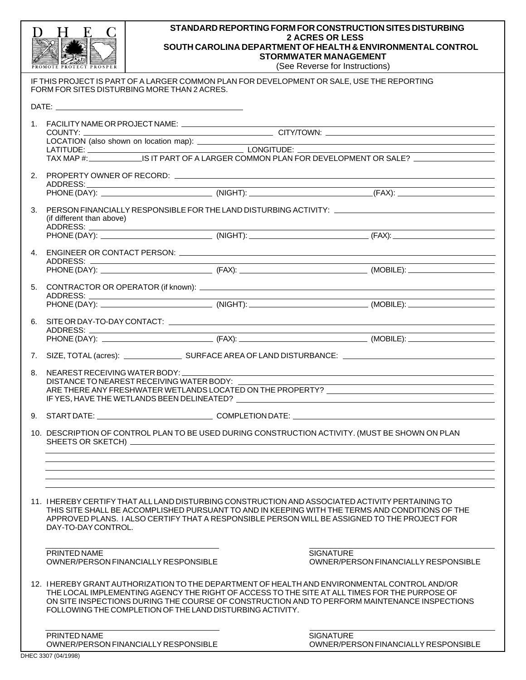|                                                                                       | H<br>F.                                                                                                                                                                                                                                                                                                                                                     |                                                                                                                                                                                      | STANDARD REPORTING FORM FOR CONSTRUCTION SITES DISTURBING<br><b>2 ACRES OR LESS</b><br>SOUTH CAROLINA DEPARTMENT OF HEALTH & ENVIRONMENTAL CONTROL<br><b>STORMWATER MANAGEMENT</b><br>(See Reverse for Instructions) |
|---------------------------------------------------------------------------------------|-------------------------------------------------------------------------------------------------------------------------------------------------------------------------------------------------------------------------------------------------------------------------------------------------------------------------------------------------------------|--------------------------------------------------------------------------------------------------------------------------------------------------------------------------------------|----------------------------------------------------------------------------------------------------------------------------------------------------------------------------------------------------------------------|
|                                                                                       |                                                                                                                                                                                                                                                                                                                                                             | FORM FOR SITES DISTURBING MORE THAN 2 ACRES.                                                                                                                                         | IF THIS PROJECT IS PART OF A LARGER COMMON PLAN FOR DEVELOPMENT OR SALE, USE THE REPORTING                                                                                                                           |
|                                                                                       |                                                                                                                                                                                                                                                                                                                                                             |                                                                                                                                                                                      |                                                                                                                                                                                                                      |
|                                                                                       |                                                                                                                                                                                                                                                                                                                                                             | 1. FACILITY NAME OR PROJECT NAME: _________________________                                                                                                                          | <u> 1989 - Johann Barn, amerikansk politiker (d. 1989)</u>                                                                                                                                                           |
|                                                                                       | COUNTY:                                                                                                                                                                                                                                                                                                                                                     |                                                                                                                                                                                      |                                                                                                                                                                                                                      |
|                                                                                       |                                                                                                                                                                                                                                                                                                                                                             |                                                                                                                                                                                      |                                                                                                                                                                                                                      |
|                                                                                       |                                                                                                                                                                                                                                                                                                                                                             |                                                                                                                                                                                      |                                                                                                                                                                                                                      |
|                                                                                       | ADDRESS:                                                                                                                                                                                                                                                                                                                                                    |                                                                                                                                                                                      |                                                                                                                                                                                                                      |
|                                                                                       |                                                                                                                                                                                                                                                                                                                                                             |                                                                                                                                                                                      |                                                                                                                                                                                                                      |
|                                                                                       | 3.<br>(if different than above)                                                                                                                                                                                                                                                                                                                             |                                                                                                                                                                                      |                                                                                                                                                                                                                      |
|                                                                                       |                                                                                                                                                                                                                                                                                                                                                             |                                                                                                                                                                                      |                                                                                                                                                                                                                      |
|                                                                                       |                                                                                                                                                                                                                                                                                                                                                             |                                                                                                                                                                                      |                                                                                                                                                                                                                      |
|                                                                                       |                                                                                                                                                                                                                                                                                                                                                             |                                                                                                                                                                                      |                                                                                                                                                                                                                      |
|                                                                                       |                                                                                                                                                                                                                                                                                                                                                             |                                                                                                                                                                                      |                                                                                                                                                                                                                      |
|                                                                                       |                                                                                                                                                                                                                                                                                                                                                             |                                                                                                                                                                                      |                                                                                                                                                                                                                      |
|                                                                                       |                                                                                                                                                                                                                                                                                                                                                             |                                                                                                                                                                                      |                                                                                                                                                                                                                      |
|                                                                                       |                                                                                                                                                                                                                                                                                                                                                             |                                                                                                                                                                                      |                                                                                                                                                                                                                      |
|                                                                                       |                                                                                                                                                                                                                                                                                                                                                             |                                                                                                                                                                                      |                                                                                                                                                                                                                      |
|                                                                                       |                                                                                                                                                                                                                                                                                                                                                             |                                                                                                                                                                                      |                                                                                                                                                                                                                      |
| NEAREST RECEIVING WATER BODY:<br>8.<br>DISTANCE TO NEAREST RECEIVING WATER BODY: ____ |                                                                                                                                                                                                                                                                                                                                                             | <u> 1989 - Johann Barn, mars and de Brasilian (b. 1989)</u><br><u> 1989 - Johann Barn, mars ann an t-Amhain Aonaichte ann an t-Aonaichte ann an t-Aonaichte ann an t-Aonaichte a</u> |                                                                                                                                                                                                                      |
|                                                                                       |                                                                                                                                                                                                                                                                                                                                                             |                                                                                                                                                                                      |                                                                                                                                                                                                                      |
|                                                                                       |                                                                                                                                                                                                                                                                                                                                                             |                                                                                                                                                                                      |                                                                                                                                                                                                                      |
|                                                                                       | 10. DESCRIPTION OF CONTROL PLAN TO BE USED DURING CONSTRUCTION ACTIVITY. (MUST BE SHOWN ON PLAN                                                                                                                                                                                                                                                             |                                                                                                                                                                                      |                                                                                                                                                                                                                      |
|                                                                                       |                                                                                                                                                                                                                                                                                                                                                             |                                                                                                                                                                                      |                                                                                                                                                                                                                      |
|                                                                                       |                                                                                                                                                                                                                                                                                                                                                             |                                                                                                                                                                                      |                                                                                                                                                                                                                      |
|                                                                                       | 11. I HEREBY CERTIFY THAT ALL LAND DISTURBING CONSTRUCTION AND ASSOCIATED ACTIVITY PERTAINING TO<br>THIS SITE SHALL BE ACCOMPLISHED PURSUANT TO AND IN KEEPING WITH THE TERMS AND CONDITIONS OF THE<br>APPROVED PLANS. I ALSO CERTIFY THAT A RESPONSIBLE PERSON WILL BE ASSIGNED TO THE PROJECT FOR<br>DAY-TO-DAY CONTROL.                                  |                                                                                                                                                                                      |                                                                                                                                                                                                                      |
|                                                                                       | PRINTED NAME                                                                                                                                                                                                                                                                                                                                                | OWNER/PERSON FINANCIALLY RESPONSIBLE                                                                                                                                                 | <b>SIGNATURE</b><br>OWNER/PERSON FINANCIALLY RESPONSIBLE                                                                                                                                                             |
|                                                                                       | 12. I HEREBY GRANT AUTHORIZATION TO THE DEPARTMENT OF HEALTH AND ENVIRONMENTAL CONTROL AND/OR<br>THE LOCAL IMPLEMENTING AGENCY THE RIGHT OF ACCESS TO THE SITE AT ALL TIMES FOR THE PURPOSE OF<br>ON SITE INSPECTIONS DURING THE COURSE OF CONSTRUCTION AND TO PERFORM MAINTENANCE INSPECTIONS<br>FOLLOWING THE COMPLETION OF THE LAND DISTURBING ACTIVITY. |                                                                                                                                                                                      |                                                                                                                                                                                                                      |
|                                                                                       | PRINTED NAME                                                                                                                                                                                                                                                                                                                                                | OWNER/PERSON FINANCIALLY RESPONSIBLE                                                                                                                                                 | <b>SIGNATURE</b><br>OWNER/PERSON FINANCIALLY RESPONSIBLE                                                                                                                                                             |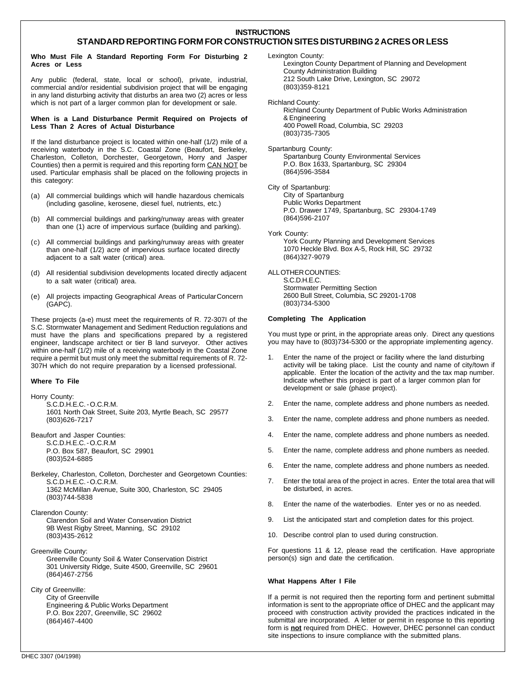## **INSTRUCTIONS**

# **STANDARD REPORTING FORM FOR CONSTRUCTION SITES DISTURBING 2 ACRES OR LESS**

#### **Who Must File A Standard Reporting Form For Disturbing 2 Acres or Less**

Any public (federal, state, local or school), private, industrial, commercial and/or residential subdivision project that will be engaging in any land disturbing activity that disturbs an area two (2) acres or less which is not part of a larger common plan for development or sale.

## **When is a Land Disturbance Permit Required on Projects of Less Than 2 Acres of Actual Disturbance**

If the land disturbance project is located within one-half (1/2) mile of a receiving waterbody in the S.C. Coastal Zone (Beaufort, Berkeley, Charleston, Colleton, Dorchester, Georgetown, Horry and Jasper Counties) then a permit is required and this reporting form CAN NOT be used. Particular emphasis shall be placed on the following projects in this category:

- (a) All commercial buildings which will handle hazardous chemicals (including gasoline, kerosene, diesel fuel, nutrients, etc.)
- (b) All commercial buildings and parking/runway areas with greater than one (1) acre of impervious surface (building and parking).
- (c) All commercial buildings and parking/runway areas with greater than one-half (1/2) acre of impervious surface located directly adjacent to a salt water (critical) area.
- (d) All residential subdivision developments located directly adjacent to a salt water (critical) area.
- (e) All projects impacting Geographical Areas of ParticularConcern (GAPC).

These projects (a-e) must meet the requirements of R. 72-307I of the S.C. Stormwater Management and Sediment Reduction regulations and must have the plans and specifications prepared by a registered engineer, landscape architect or tier B land surveyor. Other actives within one-half (1/2) mile of a receiving waterbody in the Coastal Zone require a permit but must only meet the submittal requirements of R. 72- 307H which do not require preparation by a licensed professional.

## **Where To File**

Horry County: S.C.D.H.E.C. - O.C.R.M. 1601 North Oak Street, Suite 203, Myrtle Beach, SC 29577 (803)626-7217

Beaufort and Jasper Counties: S.C.D.H.E.C. - O.C.R.M P.O. Box 587, Beaufort, SC 29901 (803)524-6885

- Berkeley, Charleston, Colleton, Dorchester and Georgetown Counties: S.C.D.H.E.C. - O.C.R.M. 1362 McMillan Avenue, Suite 300, Charleston, SC 29405 (803)744-5838
- Clarendon County: Clarendon Soil and Water Conservation District 9B West Rigby Street, Manning, SC 29102 (803)435-2612
- Greenville County: Greenville County Soil & Water Conservation District 301 University Ridge, Suite 4500, Greenville, SC 29601 (864)467-2756
- City of Greenville: City of Greenville Engineering & Public Works Department P.O. Box 2207, Greenville, SC 29602 (864)467-4400

Lexington County:

Lexington County Department of Planning and Development County Administration Building 212 South Lake Drive, Lexington, SC 29072 (803)359-8121

Richland County:

Richland County Department of Public Works Administration & Engineering 400 Powell Road, Columbia, SC 29203 (803)735-7305

Spartanburg County: Spartanburg County Environmental Services P.O. Box 1633, Spartanburg, SC 29304 (864)596-3584

City of Spartanburg: City of Spartanburg Public Works Department P.O. Drawer 1749, Spartanburg, SC 29304-1749 (864)596-2107

York County: York County Planning and Development Services 1070 Heckle Blvd. Box A-5, Rock Hill, SC 29732 (864)327-9079

ALL OTHER COUNTIES:

S.C.D.H.E.C. Stormwater Permitting Section 2600 Bull Street, Columbia, SC 29201-1708 (803)734-5300

## **Completing The Application**

You must type or print, in the appropriate areas only. Direct any questions you may have to (803)734-5300 or the appropriate implementing agency.

- Enter the name of the project or facility where the land disturbing activity will be taking place. List the county and name of city/town if applicable. Enter the location of the activity and the tax map number. Indicate whether this project is part of a larger common plan for development or sale (phase project).
- 2. Enter the name, complete address and phone numbers as needed.
- 3. Enter the name, complete address and phone numbers as needed.
- 4. Enter the name, complete address and phone numbers as needed.
- 5. Enter the name, complete address and phone numbers as needed.
- 6. Enter the name, complete address and phone numbers as needed.
- 7. Enter the total area of the project in acres. Enter the total area that will be disturbed, in acres.
- 8. Enter the name of the waterbodies. Enter yes or no as needed.
- 9. List the anticipated start and completion dates for this project.
- 10. Describe control plan to used during construction.

For questions 11 & 12, please read the certification. Have appropriate person(s) sign and date the certification.

#### **What Happens After I File**

If a permit is not required then the reporting form and pertinent submittal information is sent to the appropriate office of DHEC and the applicant may proceed with construction activity provided the practices indicated in the submittal are incorporated. A letter or permit in response to this reporting form is **not** required from DHEC. However, DHEC personnel can conduct site inspections to insure compliance with the submitted plans.